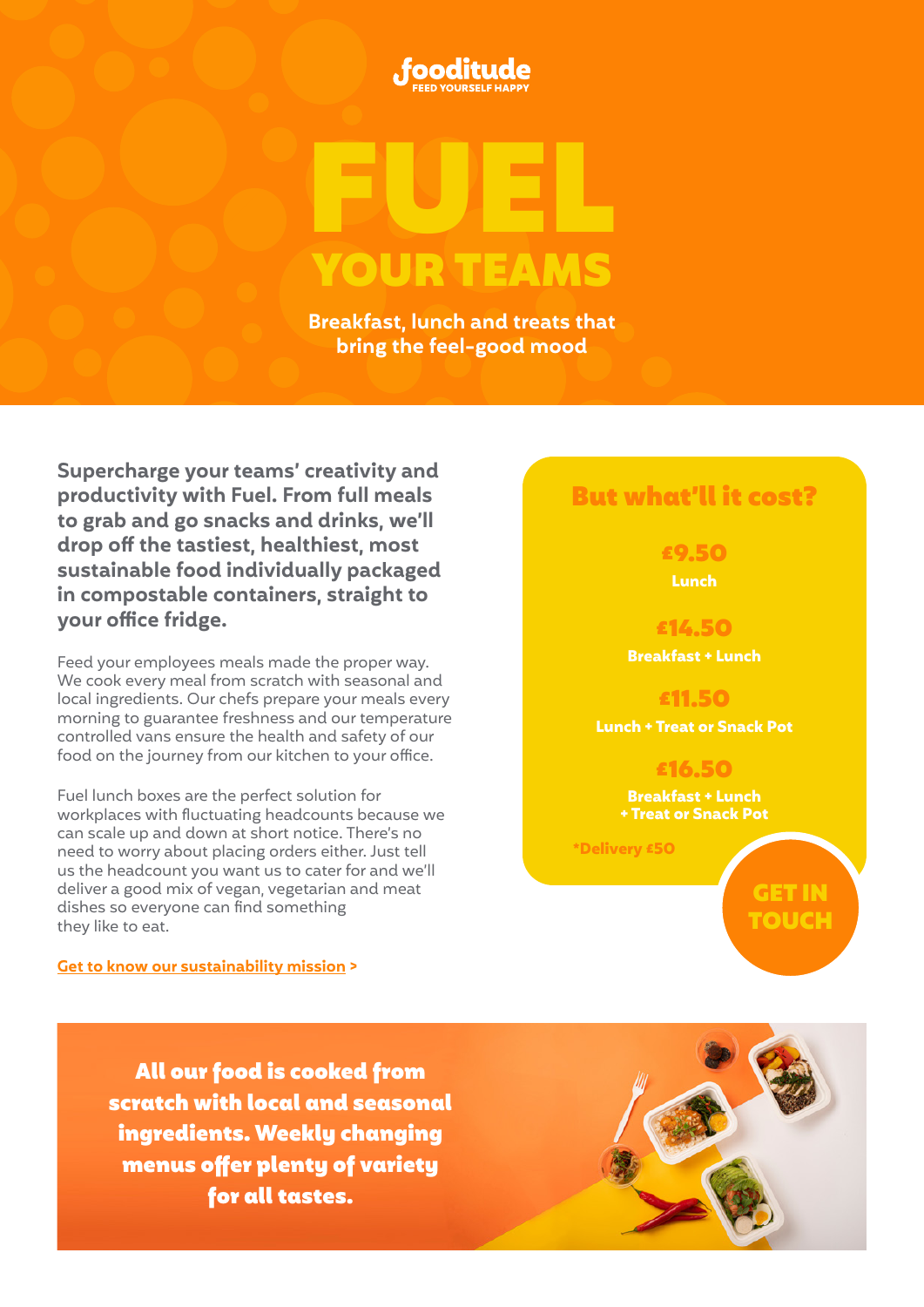



**Breakfast, lunch and treats that bring the feel-good mood**

**Supercharge your teams' creativity and productivity with Fuel. From full meals to grab and go snacks and drinks, we'll drop off the tastiest, healthiest, most sustainable food individually packaged in compostable containers, straight to your office fridge.** 

Feed your employees meals made the proper way. We cook every meal from scratch with seasonal and local ingredients. Our chefs prepare your meals every morning to guarantee freshness and our temperature controlled vans ensure the health and safety of our food on the journey from our kitchen to your office.

Fuel lunch boxes are the perfect solution for workplaces with fluctuating headcounts because we can scale up and down at short notice. There's no need to worry about placing orders either. Just tell us the headcount you want us to cater for and we'll deliver a good mix of vegan, vegetarian and meat dishes so everyone can find something they like to eat.

### **[Get to know our sustainability mission >](https://fooditude.co.uk/sustainability)**

# But what'll it cost?

£9.50 **Lunch**

£14.50 **Breakfast + Lunch** 

£11.50 **Lunch + Treat or Snack Pot**

> £16.50 **Breakfast + Lunch + Treat or Snack Pot**

 **\*Delivery £50**

GET IN [TOUCH](mailto:ccovello%40fooditude.co.uk?subject=)

All our food is cooked from scratch with local and seasonal ingredients. Weekly changing menus offer plenty of variety for all tastes.